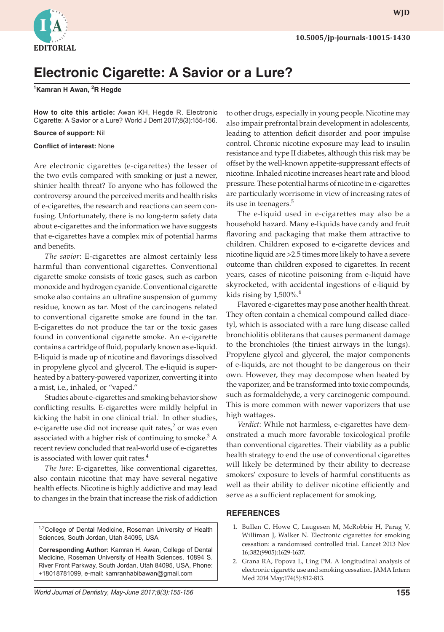

## **Electronic Cigarette: A Savior or a Lure?**

**1 Kamran H Awan, <sup>2</sup> R Hegde**

**How to cite this article:** Awan KH, Hegde R. Electronic Cigarette: A Savior or a Lure? World J Dent 2017;8(3):155-156.

**Source of support:** Nil

**Conflict of interest:** None

Are electronic cigarettes (e-cigarettes) the lesser of the two evils compared with smoking or just a newer, shinier health threat? To anyone who has followed the controversy around the perceived merits and health risks of e-cigarettes, the research and reactions can seem confusing. Unfortunately, there is no long-term safety data about e-cigarettes and the information we have suggests that e-cigarettes have a complex mix of potential harms and benefits.

*The savior*: E-cigarettes are almost certainly less harmful than conventional cigarettes. Conventional cigarette smoke consists of toxic gases, such as carbon monoxide and hydrogen cyanide. Conventional cigarette smoke also contains an ultrafine suspension of gummy residue, known as tar. Most of the carcinogens related to conventional cigarette smoke are found in the tar. E-cigarettes do not produce the tar or the toxic gases found in conventional cigarette smoke. An e-cigarette contains a cartridge of fluid, popularly known as e-liquid. E-liquid is made up of nicotine and flavorings dissolved in propylene glycol and glycerol. The e-liquid is superheated by a battery-powered vaporizer, converting it into a mist, i.e., inhaled, or "vaped."

Studies about e-cigarettes and smoking behavior show conflicting results. E-cigarettes were mildly helpful in kicking the habit in one clinical trial. $1$  In other studies, e-cigarette use did not increase quit rates, $2$  or was even associated with a higher risk of continuing to smoke.<sup>3</sup> A recent review concluded that real-world use of e-cigarettes is associated with lower quit rates.<sup>4</sup>

*The lure*: E-cigarettes, like conventional cigarettes, also contain nicotine that may have several negative health effects. Nicotine is highly addictive and may lead to changes in the brain that increase the risk of addiction

<sup>1,2</sup>College of Dental Medicine, Roseman University of Health Sciences, South Jordan, Utah 84095, USA

**Corresponding Author:** Kamran H. Awan, College of Dental Medicine, Roseman University of Health Sciences, 10894 S. River Front Parkway, South Jordan, Utah 84095, USA, Phone: +18018781099, e-mail: kamranhabibawan@gmail.com

to other drugs, especially in young people. Nicotine may also impair prefrontal brain development in adolescents, leading to attention deficit disorder and poor impulse control. Chronic nicotine exposure may lead to insulin resistance and type II diabetes, although this risk may be offset by the well-known appetite-suppressant effects of nicotine. Inhaled nicotine increases heart rate and blood pressure. These potential harms of nicotine in e-cigarettes are particularly worrisome in view of increasing rates of its use in teenagers.<sup>5</sup>

The e-liquid used in e-cigarettes may also be a household hazard. Many e-liquids have candy and fruit flavoring and packaging that make them attractive to children. Children exposed to e-cigarette devices and nicotine liquid are >2.5 times more likely to have a severe outcome than children exposed to cigarettes. In recent years, cases of nicotine poisoning from e-liquid have skyrocketed, with accidental ingestions of e-liquid by kids rising by  $1,500\%$ <sup>6</sup>

Flavored e-cigarettes may pose another health threat. They often contain a chemical compound called diacetyl, which is associated with a rare lung disease called bronchiolitis obliterans that causes permanent damage to the bronchioles (the tiniest airways in the lungs). Propylene glycol and glycerol, the major components of e-liquids, are not thought to be dangerous on their own. However, they may decompose when heated by the vaporizer, and be transformed into toxic compounds, such as formaldehyde, a very carcinogenic compound. This is more common with newer vaporizers that use high wattages.

*Verdict*: While not harmless, e-cigarettes have demonstrated a much more favorable toxicological profile than conventional cigarettes. Their viability as a public health strategy to end the use of conventional cigarettes will likely be determined by their ability to decrease smokers' exposure to levels of harmful constituents as well as their ability to deliver nicotine efficiently and serve as a sufficient replacement for smoking.

## **REFERENCES**

- 1. Bullen C, Howe C, Laugesen M, McRobbie H, Parag V, Williman J, Walker N. Electronic cigarettes for smoking cessation: a randomised controlled trial. Lancet 2013 Nov 16;382(9905):1629-1637.
- 2. Grana RA, Popova L, Ling PM. A longitudinal analysis of electronic cigarette use and smoking cessation. JAMA Intern Med 2014 May;174(5):812-813.